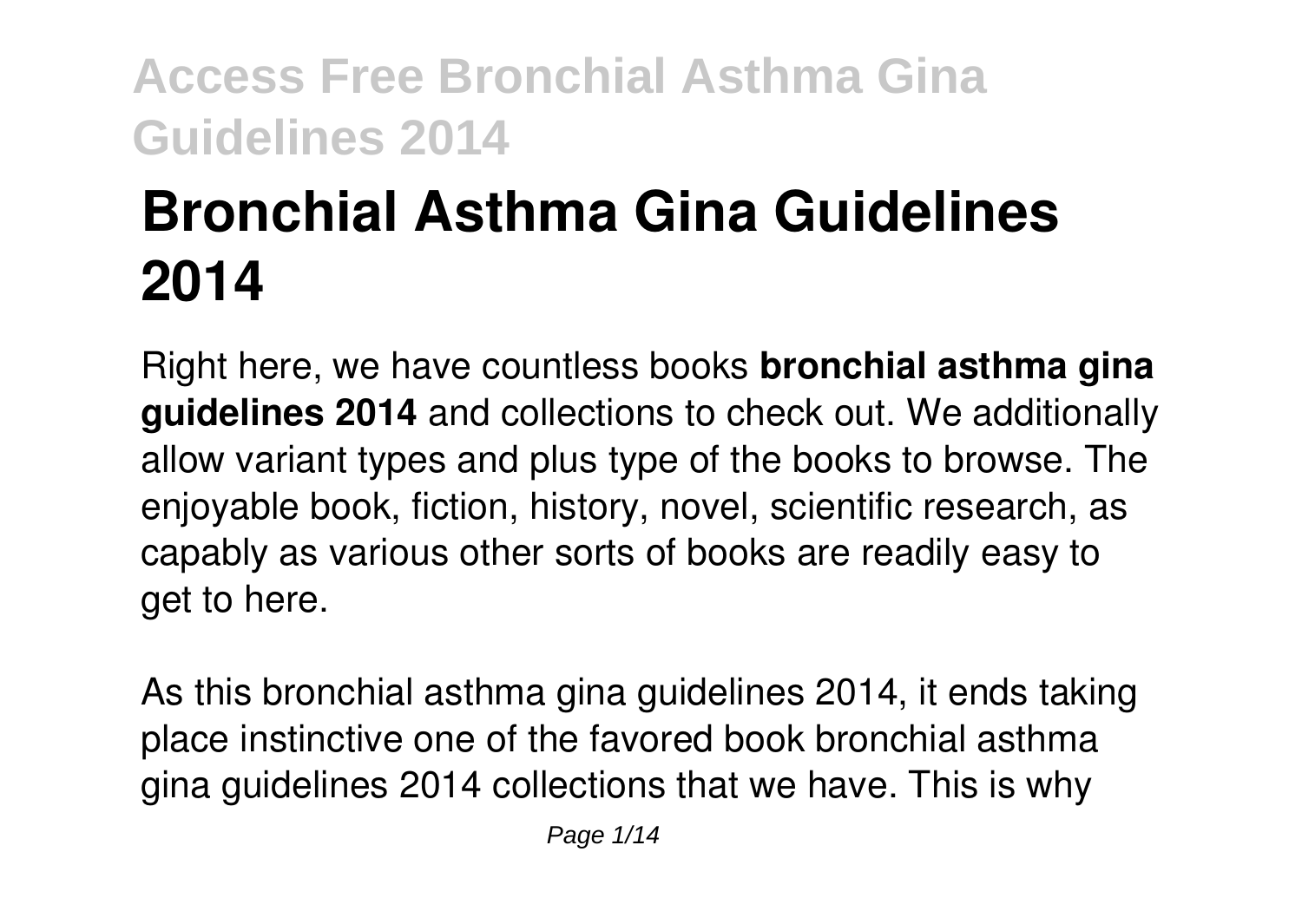# **Bronchial Asthma Gina Guidelines 2014**

Right here, we have countless books **bronchial asthma gina guidelines 2014** and collections to check out. We additionally allow variant types and plus type of the books to browse. The enjoyable book, fiction, history, novel, scientific research, as capably as various other sorts of books are readily easy to get to here.

As this bronchial asthma gina guidelines 2014, it ends taking place instinctive one of the favored book bronchial asthma gina guidelines 2014 collections that we have. This is why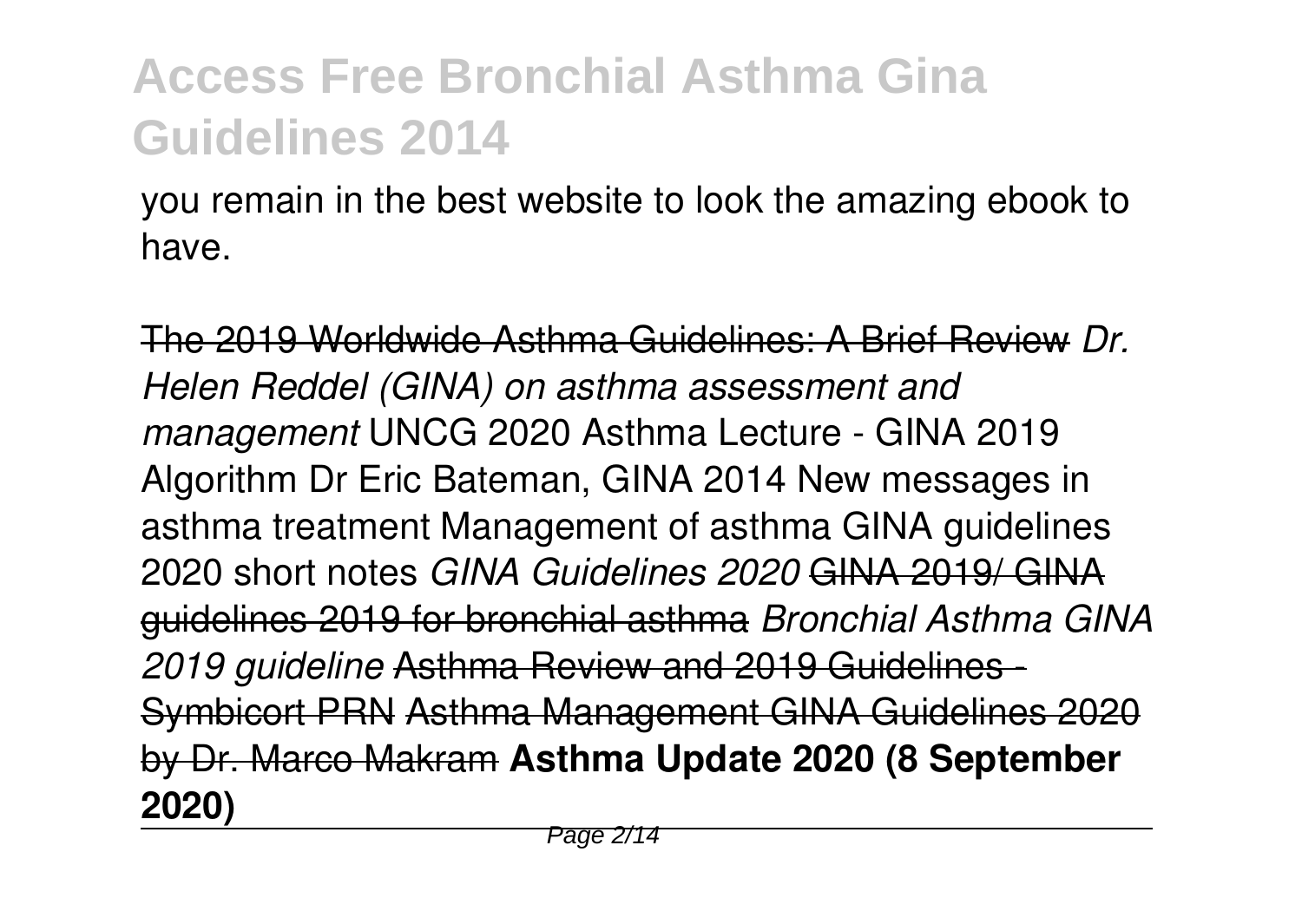you remain in the best website to look the amazing ebook to have.

The 2019 Worldwide Asthma Guidelines: A Brief Review *Dr. Helen Reddel (GINA) on asthma assessment and management* UNCG 2020 Asthma Lecture - GINA 2019 Algorithm Dr Eric Bateman, GINA 2014 New messages in asthma treatment Management of asthma GINA guidelines 2020 short notes *GINA Guidelines 2020* GINA 2019/ GINA guidelines 2019 for bronchial asthma *Bronchial Asthma GINA 2019 guideline* Asthma Review and 2019 Guidelines - Symbicort PRN Asthma Management GINA Guidelines 2020 by Dr. Marco Makram **Asthma Update 2020 (8 September 2020)**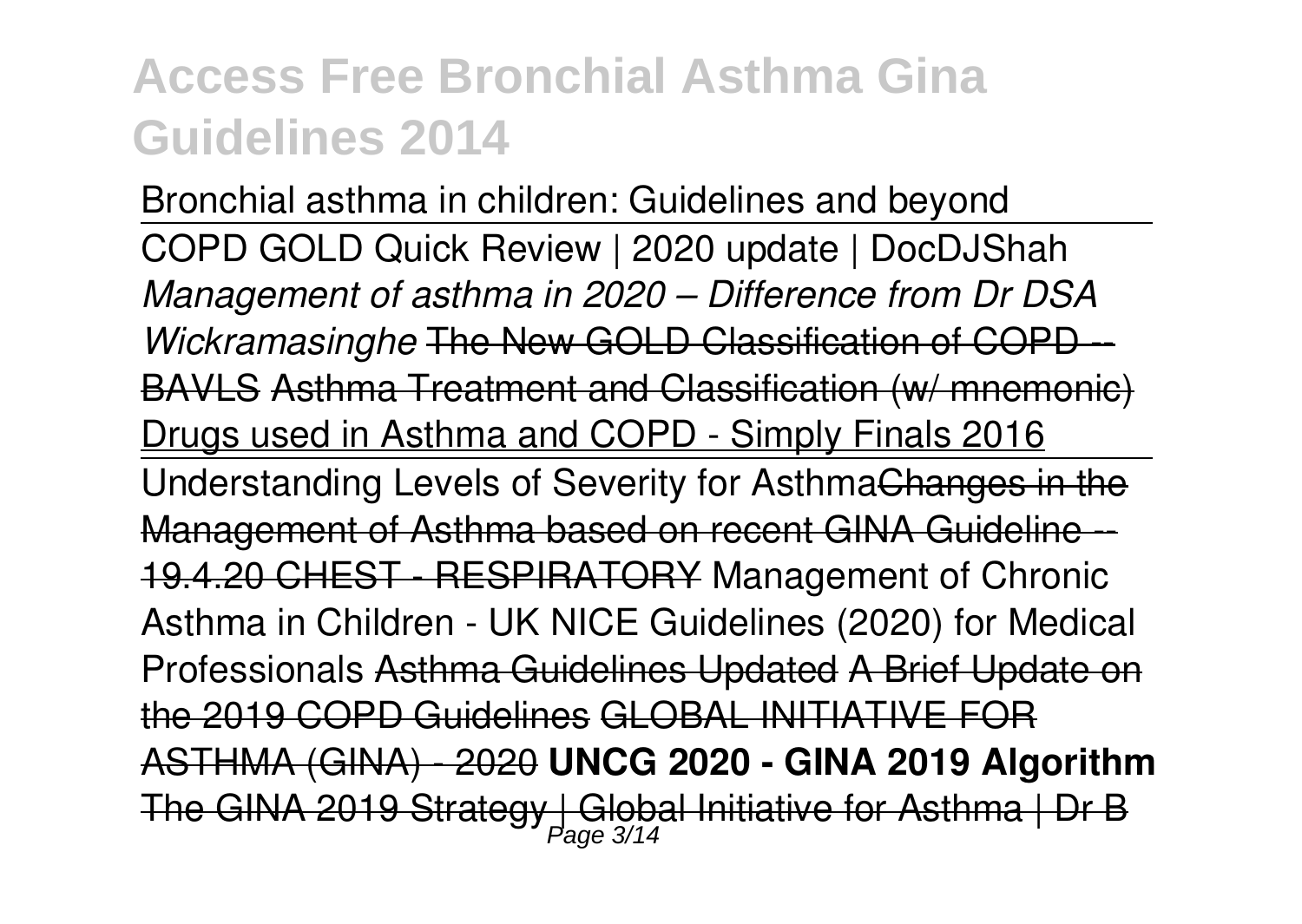Bronchial asthma in children: Guidelines and beyond COPD GOLD Quick Review | 2020 update | DocDJShah *Management of asthma in 2020 – Difference from Dr DSA Wickramasinghe* The New GOLD Classification of COPD -- BAVLS Asthma Treatment and Classification (w/ mnemonic) Drugs used in Asthma and COPD - Simply Finals 2016 Understanding Levels of Severity for AsthmaChanges in the Management of Asthma based on recent GINA Guideline --19.4.20 CHEST - RESPIRATORY Management of Chronic Asthma in Children - UK NICE Guidelines (2020) for Medical Professionals Asthma Guidelines Updated A Brief Update on the 2019 COPD Guidelines GLOBAL INITIATIVE FOR ASTHMA (GINA) - 2020 **UNCG 2020 - GINA 2019 Algorithm** The GINA 2019 Strategy | Global Initiative for Asthma | Dr B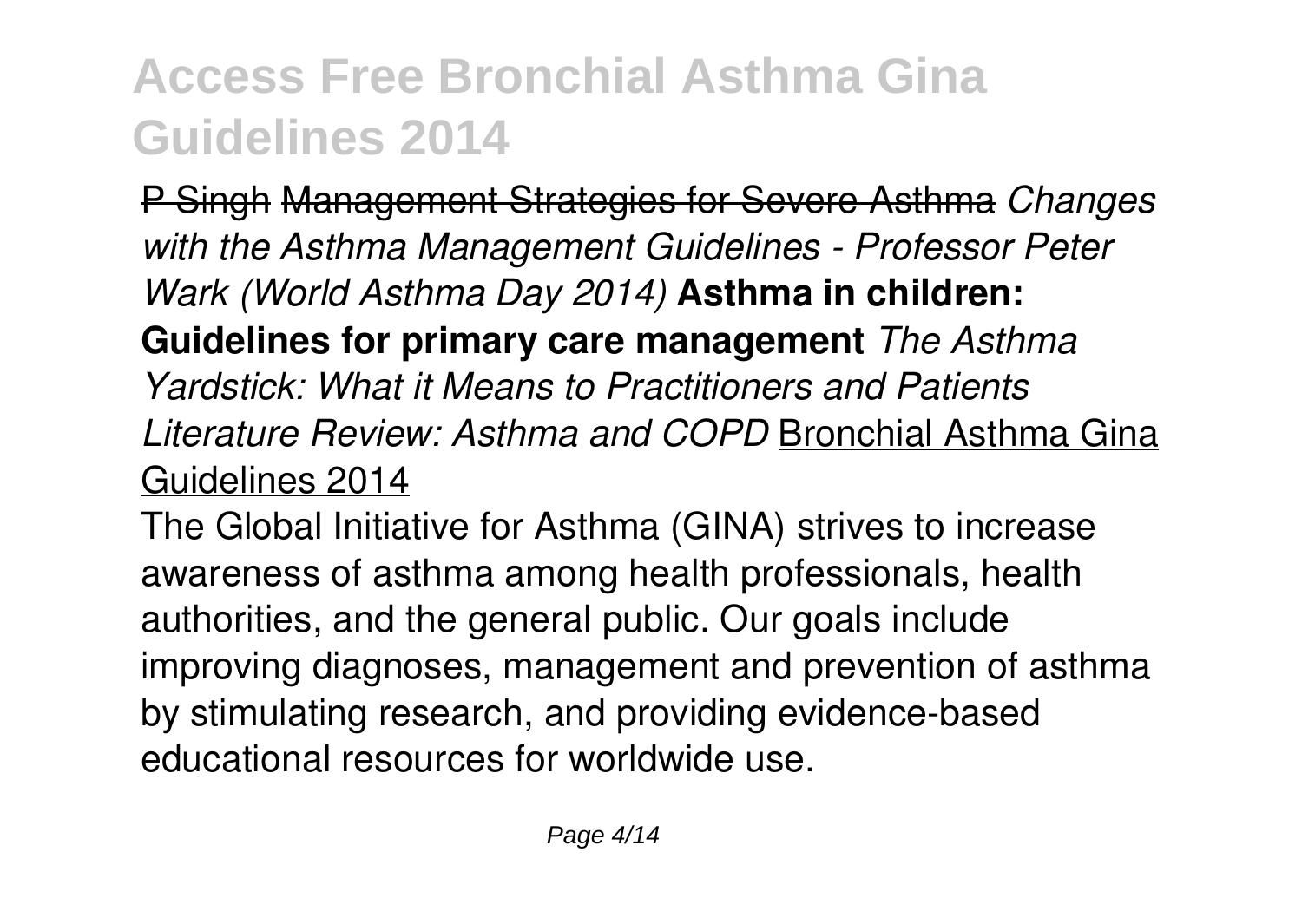P Singh Management Strategies for Severe Asthma *Changes with the Asthma Management Guidelines - Professor Peter Wark (World Asthma Day 2014)* **Asthma in children: Guidelines for primary care management** *The Asthma Yardstick: What it Means to Practitioners and Patients Literature Review: Asthma and COPD* Bronchial Asthma Gina Guidelines 2014

The Global Initiative for Asthma (GINA) strives to increase awareness of asthma among health professionals, health authorities, and the general public. Our goals include improving diagnoses, management and prevention of asthma by stimulating research, and providing evidence-based educational resources for worldwide use.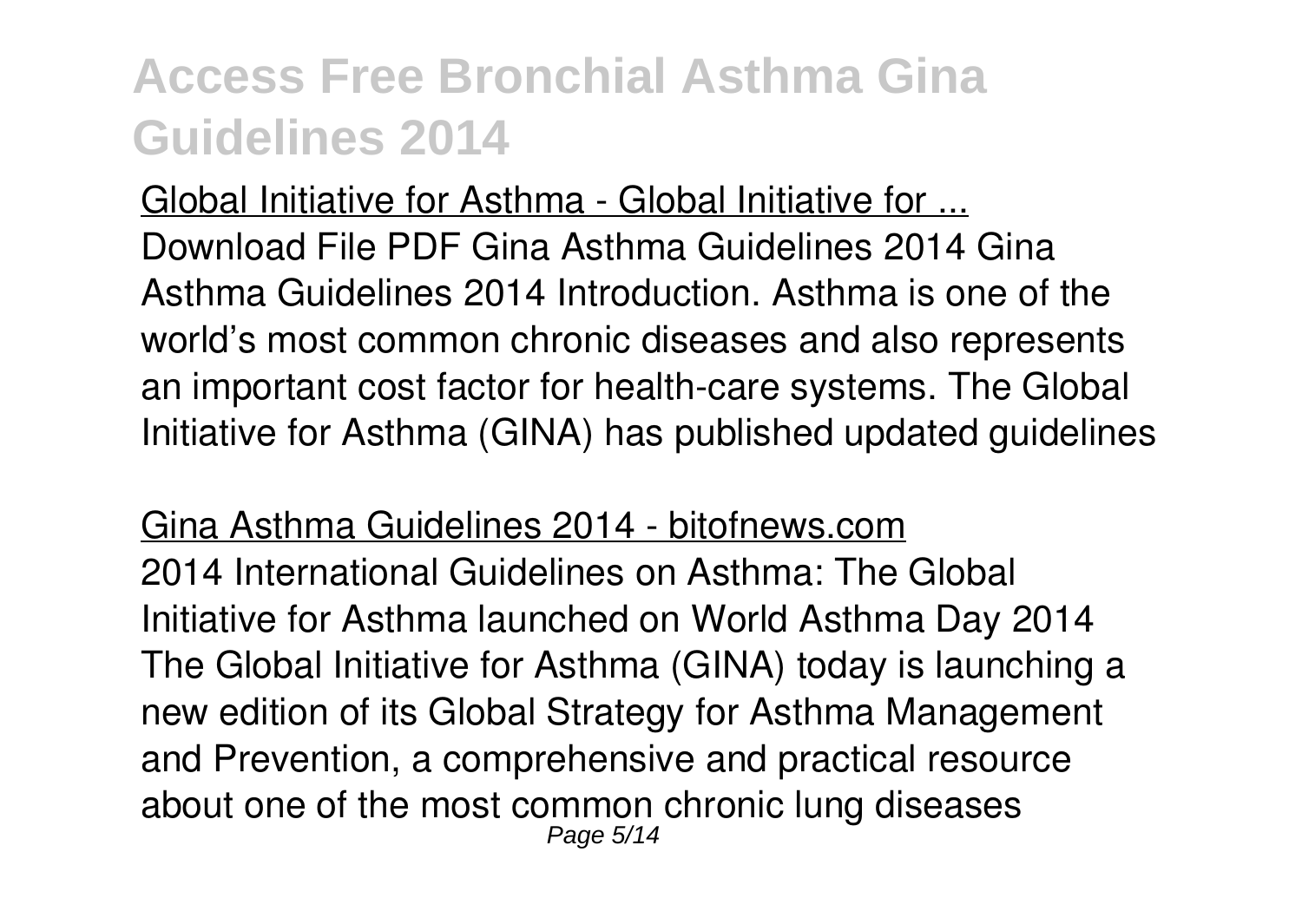Global Initiative for Asthma - Global Initiative for ... Download File PDF Gina Asthma Guidelines 2014 Gina Asthma Guidelines 2014 Introduction. Asthma is one of the world's most common chronic diseases and also represents an important cost factor for health-care systems. The Global Initiative for Asthma (GINA) has published updated guidelines

Gina Asthma Guidelines 2014 - bitofnews.com 2014 International Guidelines on Asthma: The Global Initiative for Asthma launched on World Asthma Day 2014 The Global Initiative for Asthma (GINA) today is launching a new edition of its Global Strategy for Asthma Management and Prevention, a comprehensive and practical resource about one of the most common chronic lung diseases Page 5/14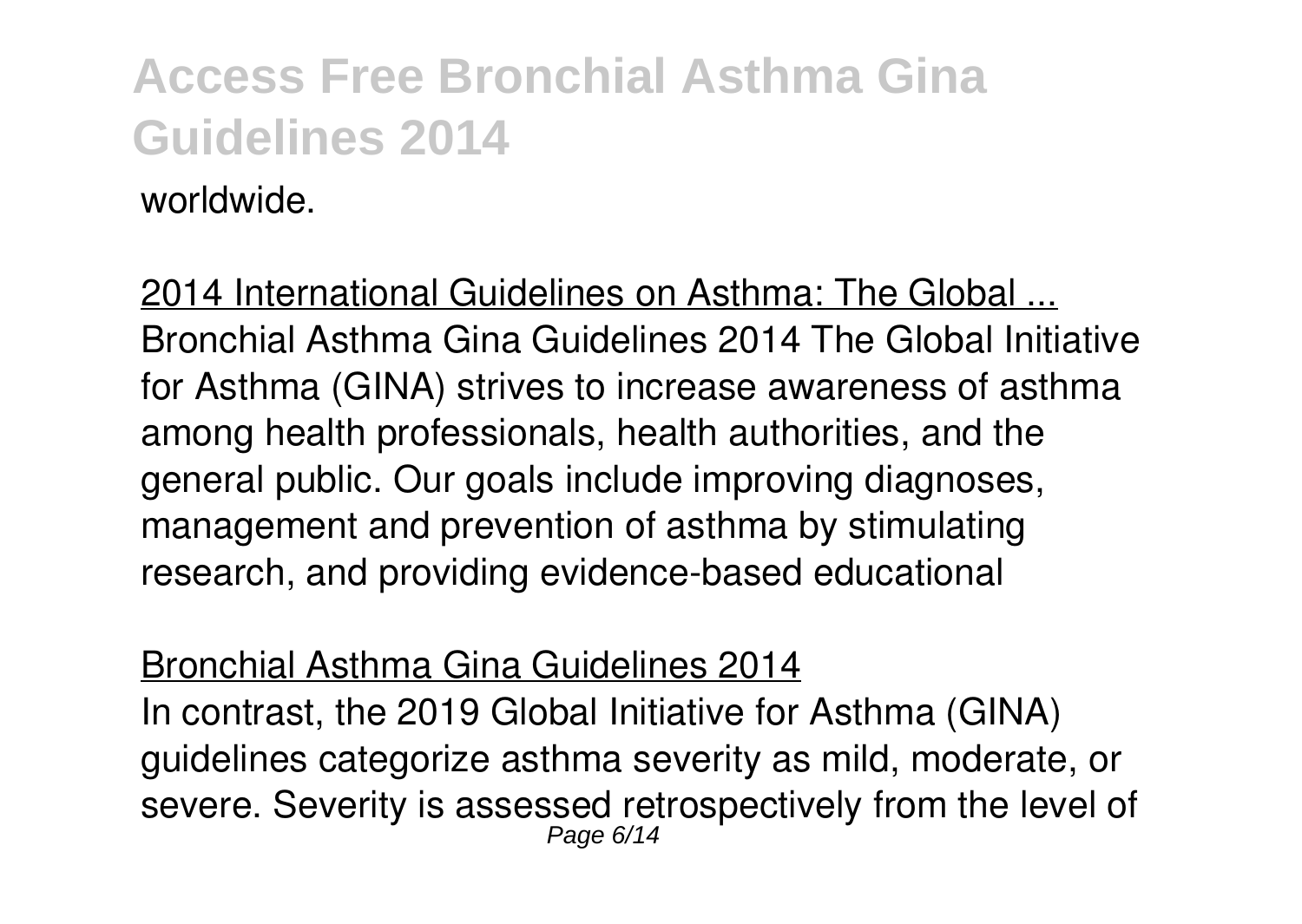worldwide.

2014 International Guidelines on Asthma: The Global ... Bronchial Asthma Gina Guidelines 2014 The Global Initiative for Asthma (GINA) strives to increase awareness of asthma among health professionals, health authorities, and the general public. Our goals include improving diagnoses, management and prevention of asthma by stimulating research, and providing evidence-based educational

Bronchial Asthma Gina Guidelines 2014

In contrast, the 2019 Global Initiative for Asthma (GINA) guidelines categorize asthma severity as mild, moderate, or severe. Severity is assessed retrospectively from the level of Page 6/14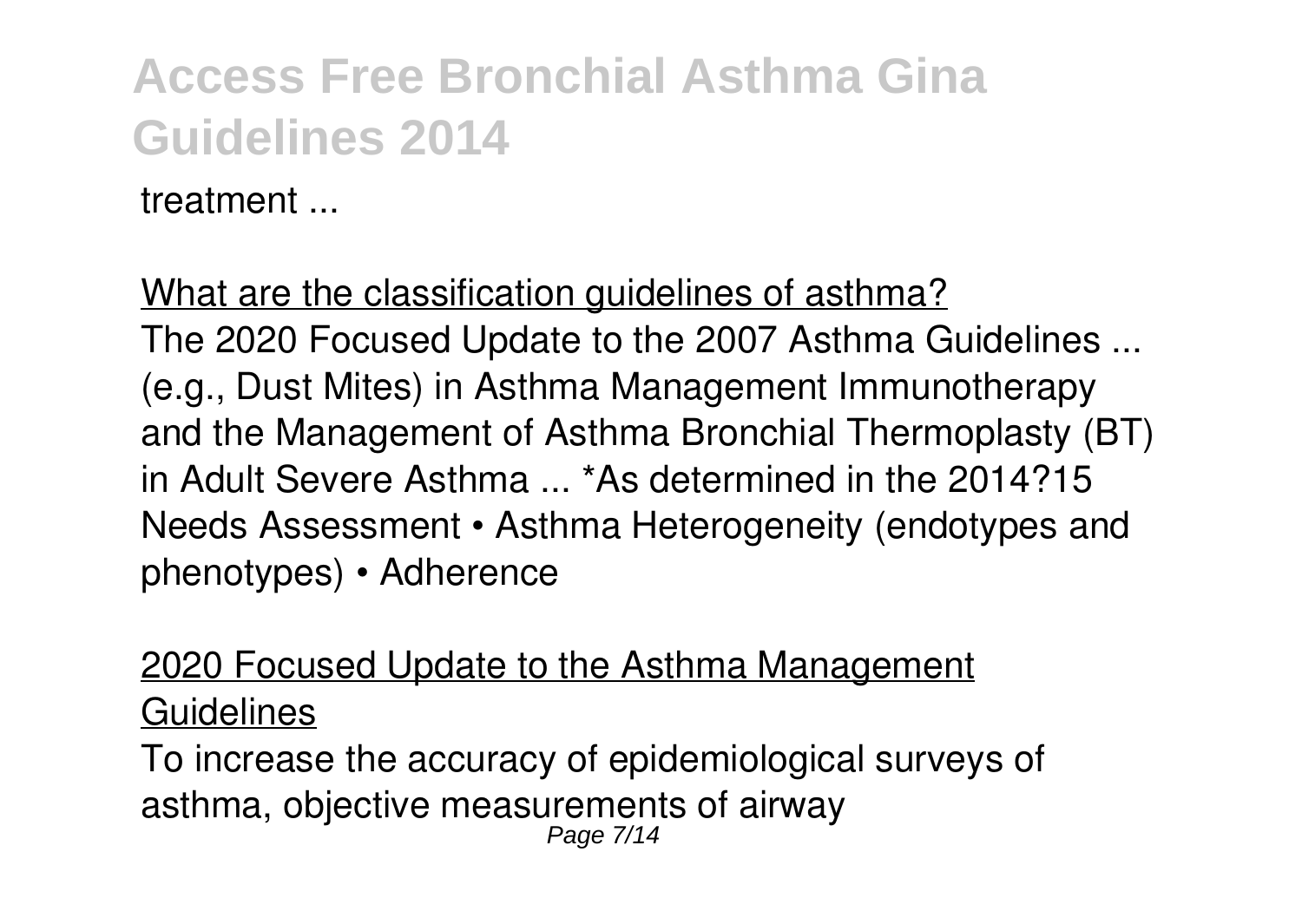treatment ...

What are the classification guidelines of asthma? The 2020 Focused Update to the 2007 Asthma Guidelines ... (e.g., Dust Mites) in Asthma Management Immunotherapy and the Management of Asthma Bronchial Thermoplasty (BT) in Adult Severe Asthma ... \*As determined in the 2014?15 Needs Assessment • Asthma Heterogeneity (endotypes and phenotypes) • Adherence

#### 2020 Focused Update to the Asthma Management Guidelines

To increase the accuracy of epidemiological surveys of asthma, objective measurements of airway Page 7/14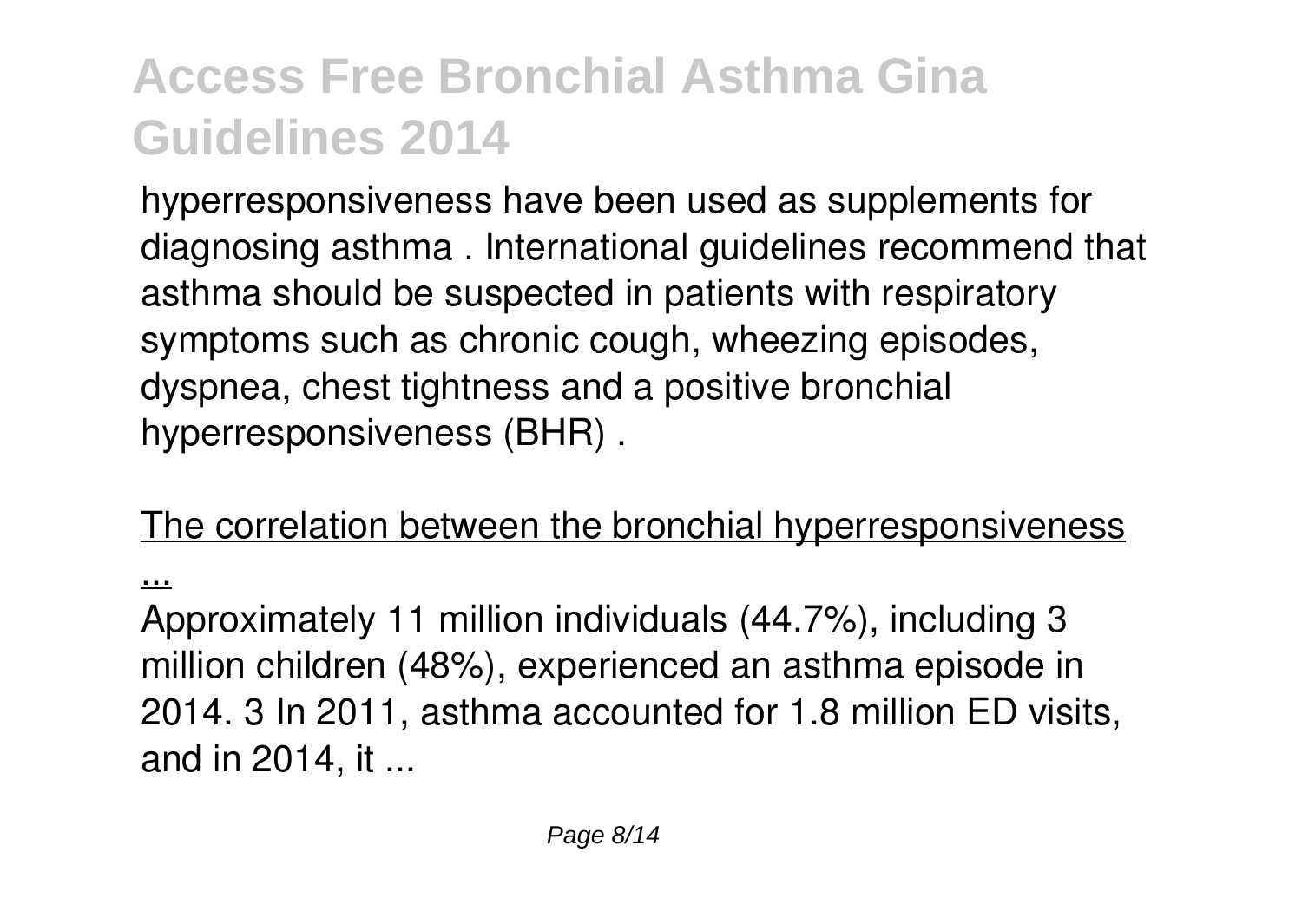hyperresponsiveness have been used as supplements for diagnosing asthma . International guidelines recommend that asthma should be suspected in patients with respiratory symptoms such as chronic cough, wheezing episodes, dyspnea, chest tightness and a positive bronchial hyperresponsiveness (BHR) .

The correlation between the bronchial hyperresponsiveness

...

Approximately 11 million individuals (44.7%), including 3 million children (48%), experienced an asthma episode in 2014. 3 In 2011, asthma accounted for 1.8 million ED visits, and in 2014, it ...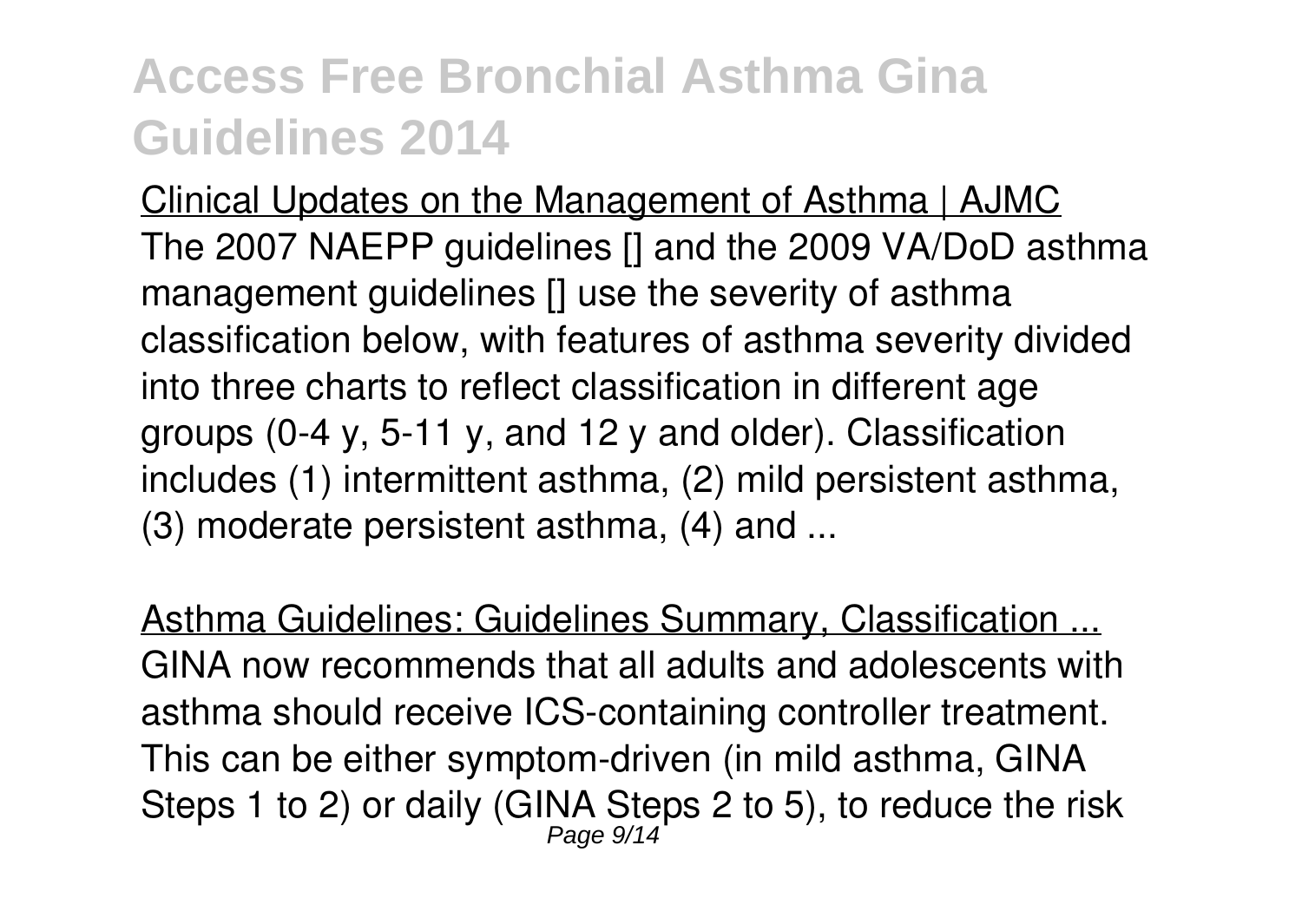Clinical Updates on the Management of Asthma | AJMC The 2007 NAEPP guidelines [] and the 2009 VA/DoD asthma management guidelines [] use the severity of asthma classification below, with features of asthma severity divided into three charts to reflect classification in different age groups (0-4 y, 5-11 y, and 12 y and older). Classification includes (1) intermittent asthma, (2) mild persistent asthma, (3) moderate persistent asthma, (4) and ...

Asthma Guidelines: Guidelines Summary, Classification ... GINA now recommends that all adults and adolescents with asthma should receive ICS-containing controller treatment. This can be either symptom-driven (in mild asthma, GINA Steps 1 to 2) or daily (GINA Steps 2 to 5), to reduce the risk Page 9/14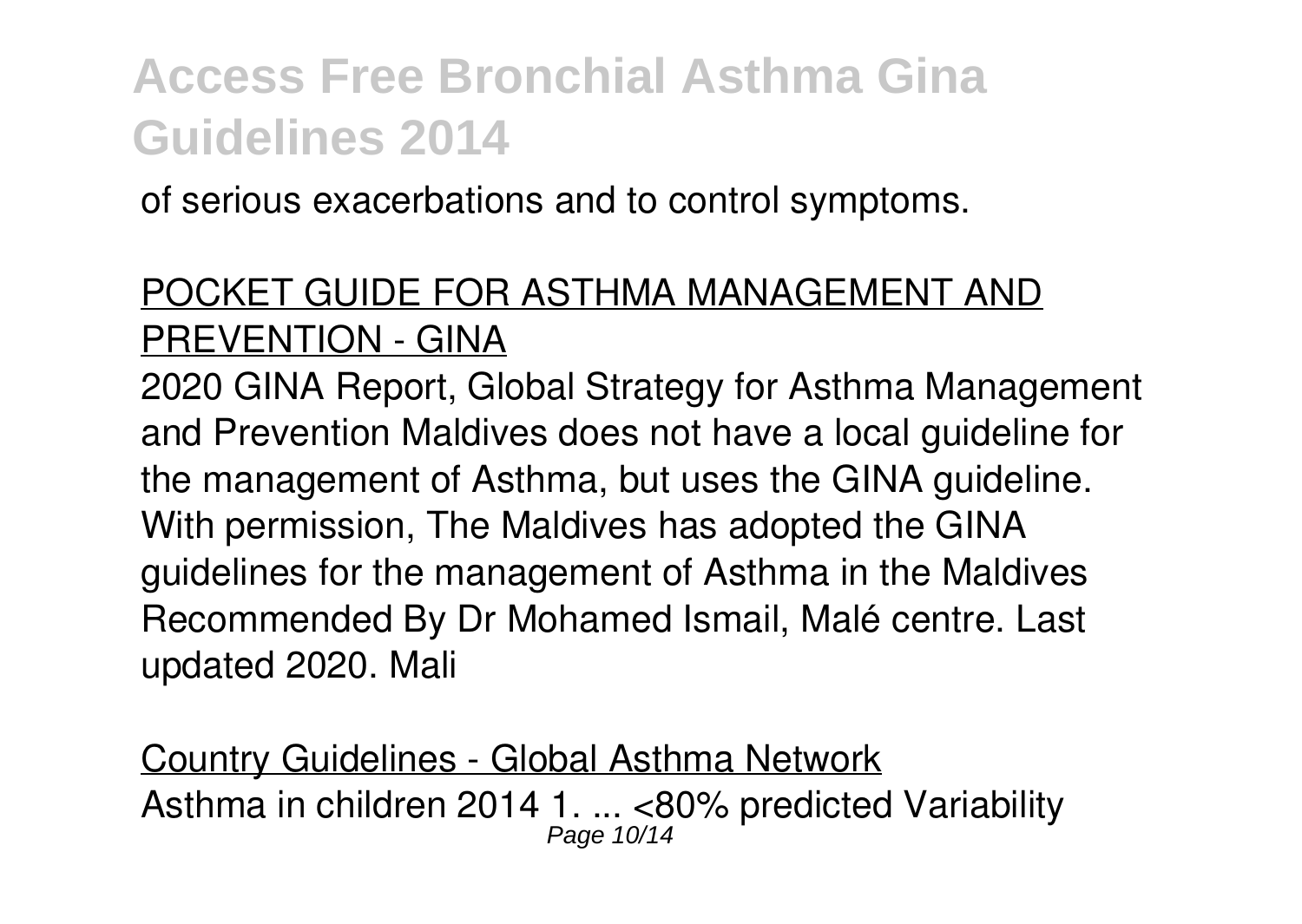of serious exacerbations and to control symptoms.

#### POCKET GUIDE FOR ASTHMA MANAGEMENT AND PREVENTION - GINA

2020 GINA Report, Global Strategy for Asthma Management and Prevention Maldives does not have a local guideline for the management of Asthma, but uses the GINA guideline. With permission, The Maldives has adopted the GINA guidelines for the management of Asthma in the Maldives Recommended By Dr Mohamed Ismail, Malé centre. Last updated 2020. Mali

Country Guidelines - Global Asthma Network Asthma in children 2014 1. ... <80% predicted Variability Page 10/14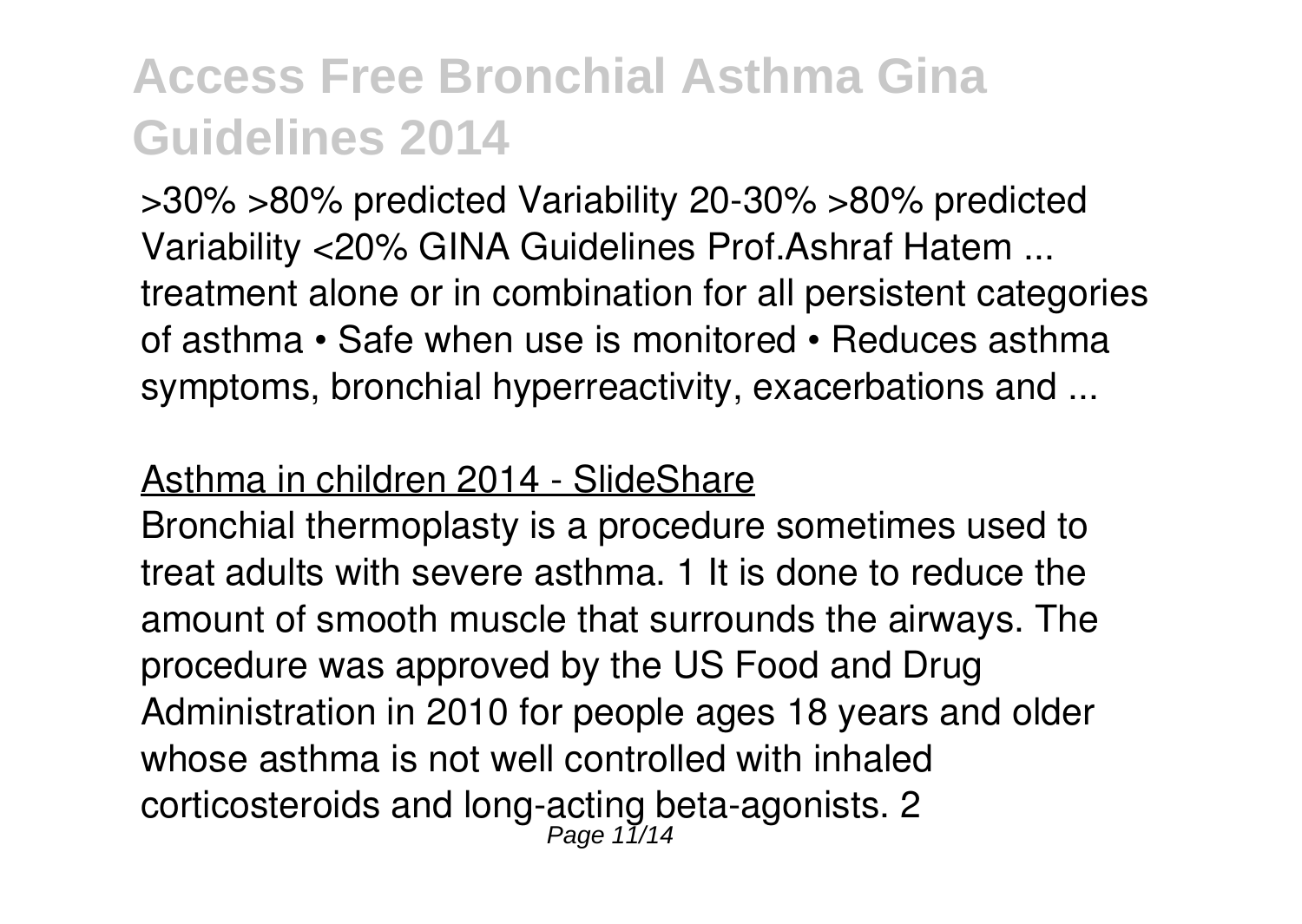>30% >80% predicted Variability 20-30% >80% predicted Variability <20% GINA Guidelines Prof.Ashraf Hatem ... treatment alone or in combination for all persistent categories of asthma • Safe when use is monitored • Reduces asthma symptoms, bronchial hyperreactivity, exacerbations and ...

#### Asthma in children 2014 - SlideShare

Bronchial thermoplasty is a procedure sometimes used to treat adults with severe asthma. 1 It is done to reduce the amount of smooth muscle that surrounds the airways. The procedure was approved by the US Food and Drug Administration in 2010 for people ages 18 years and older whose asthma is not well controlled with inhaled corticosteroids and long-acting beta-agonists. 2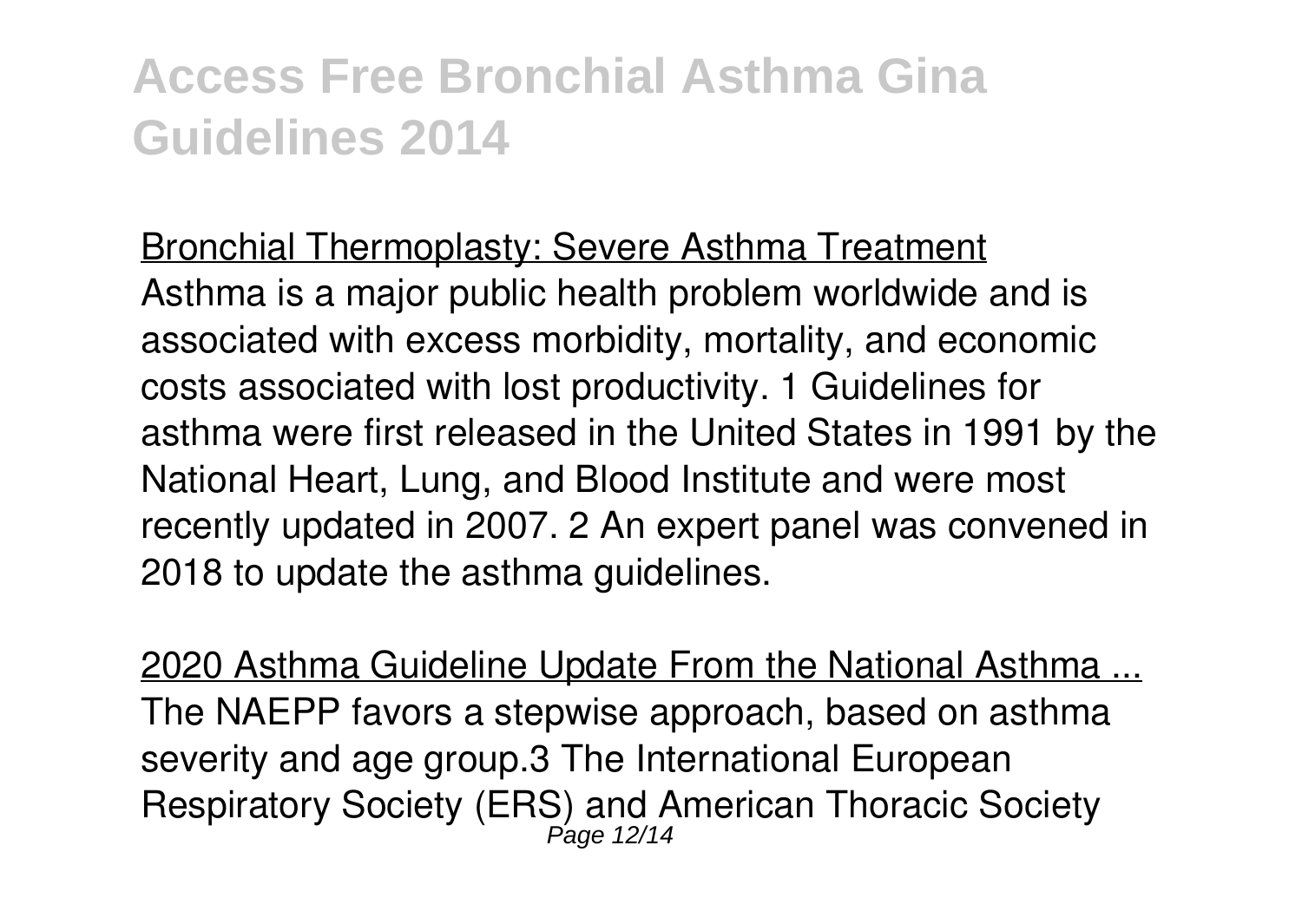#### Bronchial Thermoplasty: Severe Asthma Treatment

Asthma is a major public health problem worldwide and is associated with excess morbidity, mortality, and economic costs associated with lost productivity. 1 Guidelines for asthma were first released in the United States in 1991 by the National Heart, Lung, and Blood Institute and were most recently updated in 2007. 2 An expert panel was convened in 2018 to update the asthma guidelines.

2020 Asthma Guideline Update From the National Asthma ... The NAEPP favors a stepwise approach, based on asthma severity and age group.3 The International European Respiratory Society (ERS) and American Thoracic Society Page 12/14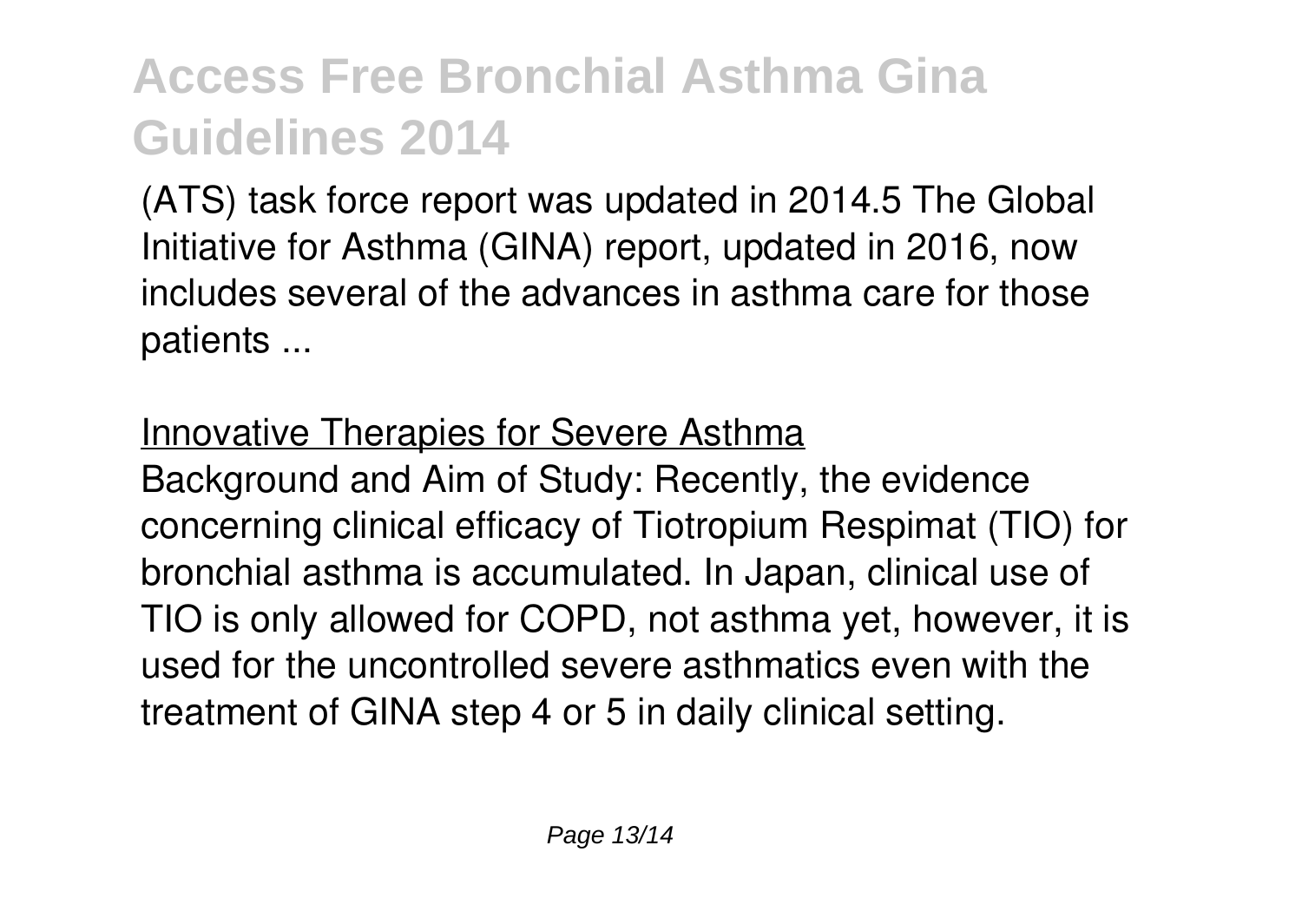(ATS) task force report was updated in 2014.5 The Global Initiative for Asthma (GINA) report, updated in 2016, now includes several of the advances in asthma care for those patients ...

#### **Innovative Therapies for Severe Asthma**

Background and Aim of Study: Recently, the evidence concerning clinical efficacy of Tiotropium Respimat (TIO) for bronchial asthma is accumulated. In Japan, clinical use of TIO is only allowed for COPD, not asthma yet, however, it is used for the uncontrolled severe asthmatics even with the treatment of GINA step 4 or 5 in daily clinical setting.